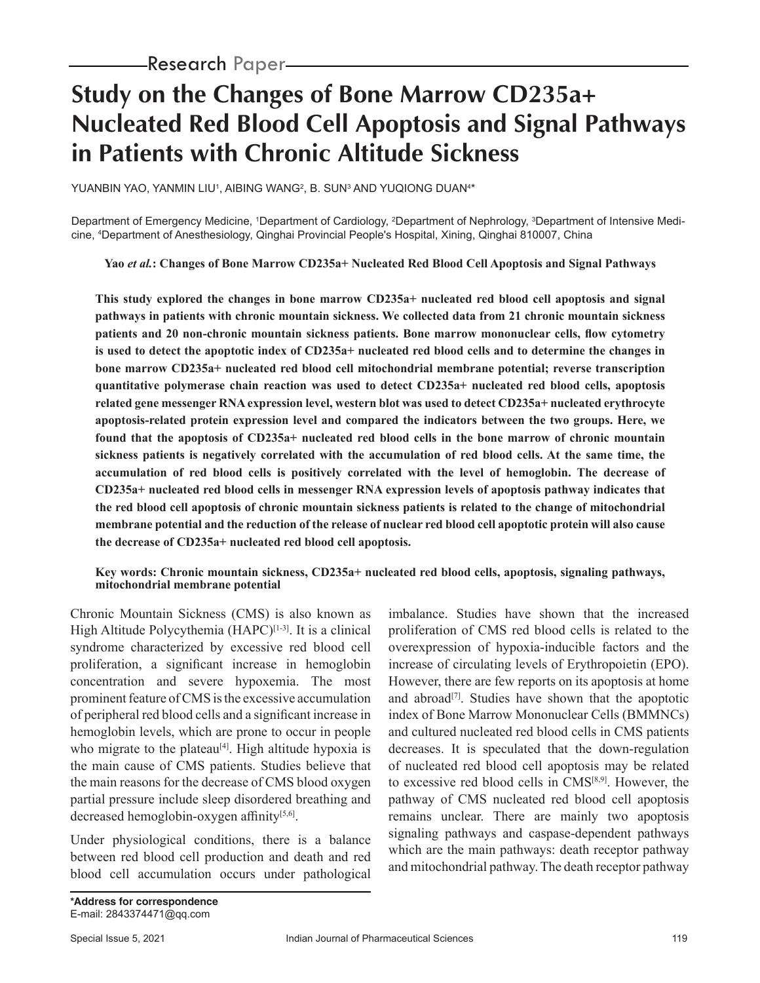# **Study on the Changes of Bone Marrow CD235a+ Nucleated Red Blood Cell Apoptosis and Signal Pathways in Patients with Chronic Altitude Sickness**

YUANBIN YAO, YANMIN LIU', AIBING WANG<sup>2</sup>, B. SUN<sup>3</sup> AND YUQIONG DUAN<sup>4\*</sup>

Department of Emergency Medicine, 1Department of Cardiology, <sup>2</sup>Department of Nephrology, <sup>3</sup>Department of Intensive Medicine, 4 Department of Anesthesiology, Qinghai Provincial People's Hospital, Xining, Qinghai 810007, China

**Yao** *et al.***: Changes of Bone Marrow CD235a+ Nucleated Red Blood Cell Apoptosis and Signal Pathways**

**This study explored the changes in bone marrow CD235a+ nucleated red blood cell apoptosis and signal pathways in patients with chronic mountain sickness. We collected data from 21 chronic mountain sickness patients and 20 non-chronic mountain sickness patients. Bone marrow mononuclear cells, flow cytometry is used to detect the apoptotic index of CD235a+ nucleated red blood cells and to determine the changes in bone marrow CD235a+ nucleated red blood cell mitochondrial membrane potential; reverse transcription quantitative polymerase chain reaction was used to detect CD235a+ nucleated red blood cells, apoptosis related gene messenger RNA expression level, western blot was used to detect CD235a+ nucleated erythrocyte apoptosis-related protein expression level and compared the indicators between the two groups. Here, we found that the apoptosis of CD235a+ nucleated red blood cells in the bone marrow of chronic mountain sickness patients is negatively correlated with the accumulation of red blood cells. At the same time, the accumulation of red blood cells is positively correlated with the level of hemoglobin. The decrease of CD235a+ nucleated red blood cells in messenger RNA expression levels of apoptosis pathway indicates that the red blood cell apoptosis of chronic mountain sickness patients is related to the change of mitochondrial membrane potential and the reduction of the release of nuclear red blood cell apoptotic protein will also cause the decrease of CD235a+ nucleated red blood cell apoptosis.**

#### **Key words: Chronic mountain sickness, CD235a+ nucleated red blood cells, apoptosis, signaling pathways, mitochondrial membrane potential**

Chronic Mountain Sickness (CMS) is also known as High Altitude Polycythemia  $(HAPC)^{[1-3]}$ . It is a clinical syndrome characterized by excessive red blood cell proliferation, a significant increase in hemoglobin concentration and severe hypoxemia. The most prominent feature of CMS is the excessive accumulation of peripheral red blood cells and a significant increase in hemoglobin levels, which are prone to occur in people who migrate to the plateau<sup>[4]</sup>. High altitude hypoxia is the main cause of CMS patients. Studies believe that the main reasons for the decrease of CMS blood oxygen partial pressure include sleep disordered breathing and decreased hemoglobin-oxygen affinity<sup>[5,6]</sup>.

Under physiological conditions, there is a balance between red blood cell production and death and red blood cell accumulation occurs under pathological imbalance. Studies have shown that the increased proliferation of CMS red blood cells is related to the overexpression of hypoxia-inducible factors and the increase of circulating levels of Erythropoietin (EPO). However, there are few reports on its apoptosis at home and abroad<sup> $[7]$ </sup>. Studies have shown that the apoptotic index of Bone Marrow Mononuclear Cells (BMMNCs) and cultured nucleated red blood cells in CMS patients decreases. It is speculated that the down-regulation of nucleated red blood cell apoptosis may be related to excessive red blood cells in CMS[8,9]. However, the pathway of CMS nucleated red blood cell apoptosis remains unclear. There are mainly two apoptosis signaling pathways and caspase-dependent pathways which are the main pathways: death receptor pathway and mitochondrial pathway. The death receptor pathway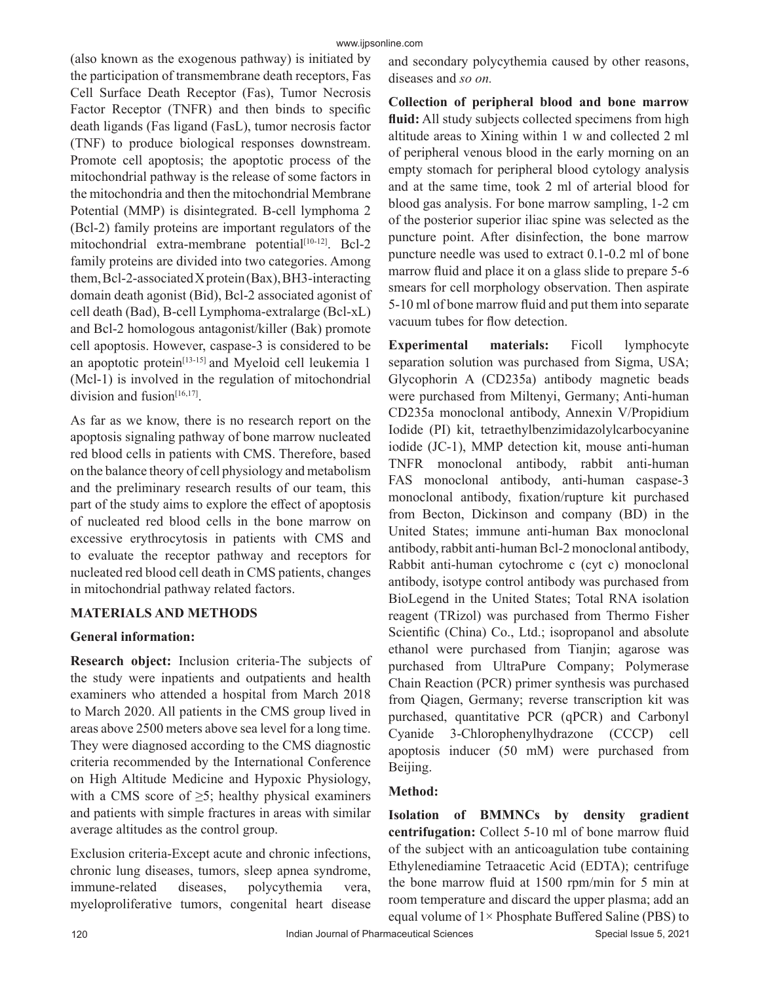(also known as the exogenous pathway) is initiated by the participation of transmembrane death receptors, Fas Cell Surface Death Receptor (Fas), Tumor Necrosis Factor Receptor (TNFR) and then binds to specific death ligands (Fas ligand (FasL), tumor necrosis factor (TNF) to produce biological responses downstream. Promote cell apoptosis; the apoptotic process of the mitochondrial pathway is the release of some factors in the mitochondria and then the mitochondrial Membrane Potential (MMP) is disintegrated. B-cell lymphoma 2 (Bcl-2) family proteins are important regulators of the mitochondrial extra-membrane potential<sup>[10-12]</sup>. Bcl-2 family proteins are divided into two categories. Among them, Bcl-2-associated X protein (Bax), BH3-interacting domain death agonist (Bid), Bcl-2 associated agonist of cell death (Bad), B-cell Lymphoma-extralarge (Bcl-xL) and Bcl-2 homologous antagonist/killer (Bak) promote cell apoptosis. However, caspase-3 is considered to be an apoptotic protein<sup>[13-15]</sup> and Myeloid cell leukemia 1 (Mcl-1) is involved in the regulation of mitochondrial division and fusion<sup>[16,17]</sup>.

As far as we know, there is no research report on the apoptosis signaling pathway of bone marrow nucleated red blood cells in patients with CMS. Therefore, based on the balance theory of cell physiology and metabolism and the preliminary research results of our team, this part of the study aims to explore the effect of apoptosis of nucleated red blood cells in the bone marrow on excessive erythrocytosis in patients with CMS and to evaluate the receptor pathway and receptors for nucleated red blood cell death in CMS patients, changes in mitochondrial pathway related factors.

# **MATERIALS AND METHODS**

### **General information:**

**Research object:** Inclusion criteria-The subjects of the study were inpatients and outpatients and health examiners who attended a hospital from March 2018 to March 2020. All patients in the CMS group lived in areas above 2500 meters above sea level for a long time. They were diagnosed according to the CMS diagnostic criteria recommended by the International Conference on High Altitude Medicine and Hypoxic Physiology, with a CMS score of  $\geq$ 5; healthy physical examiners and patients with simple fractures in areas with similar average altitudes as the control group.

Exclusion criteria-Except acute and chronic infections, chronic lung diseases, tumors, sleep apnea syndrome, immune-related diseases, polycythemia vera, myeloproliferative tumors, congenital heart disease and secondary polycythemia caused by other reasons, diseases and *so on.*

**Collection of peripheral blood and bone marrow fluid:** All study subjects collected specimens from high altitude areas to Xining within 1 w and collected 2 ml of peripheral venous blood in the early morning on an empty stomach for peripheral blood cytology analysis and at the same time, took 2 ml of arterial blood for blood gas analysis. For bone marrow sampling, 1-2 cm of the posterior superior iliac spine was selected as the puncture point. After disinfection, the bone marrow puncture needle was used to extract 0.1-0.2 ml of bone marrow fluid and place it on a glass slide to prepare 5-6 smears for cell morphology observation. Then aspirate 5-10 ml of bone marrow fluid and put them into separate vacuum tubes for flow detection.

**Experimental materials:** Ficoll lymphocyte separation solution was purchased from Sigma, USA; Glycophorin A (CD235a) antibody magnetic beads were purchased from Miltenyi, Germany; Anti-human CD235a monoclonal antibody, Annexin V/Propidium Iodide (PI) kit, tetraethylbenzimidazolylcarbocyanine iodide (JC-1), MMP detection kit, mouse anti-human TNFR monoclonal antibody, rabbit anti-human FAS monoclonal antibody, anti-human caspase-3 monoclonal antibody, fixation/rupture kit purchased from Becton, Dickinson and company (BD) in the United States; immune anti-human Bax monoclonal antibody, rabbit anti-human Bcl-2 monoclonal antibody, Rabbit anti-human cytochrome c (cyt c) monoclonal antibody, isotype control antibody was purchased from BioLegend in the United States; Total RNA isolation reagent (TRizol) was purchased from Thermo Fisher Scientific (China) Co., Ltd.; isopropanol and absolute ethanol were purchased from Tianjin; agarose was purchased from UltraPure Company; Polymerase Chain Reaction (PCR) primer synthesis was purchased from Qiagen, Germany; reverse transcription kit was purchased, quantitative PCR (qPCR) and Carbonyl Cyanide 3-Chlorophenylhydrazone (CCCP) cell apoptosis inducer (50 mM) were purchased from Beijing.

# **Method:**

**Isolation of BMMNCs by density gradient centrifugation:** Collect 5-10 ml of bone marrow fluid of the subject with an anticoagulation tube containing Ethylenediamine Tetraacetic Acid (EDTA); centrifuge the bone marrow fluid at 1500 rpm/min for 5 min at room temperature and discard the upper plasma; add an equal volume of  $1 \times$  Phosphate Buffered Saline (PBS) to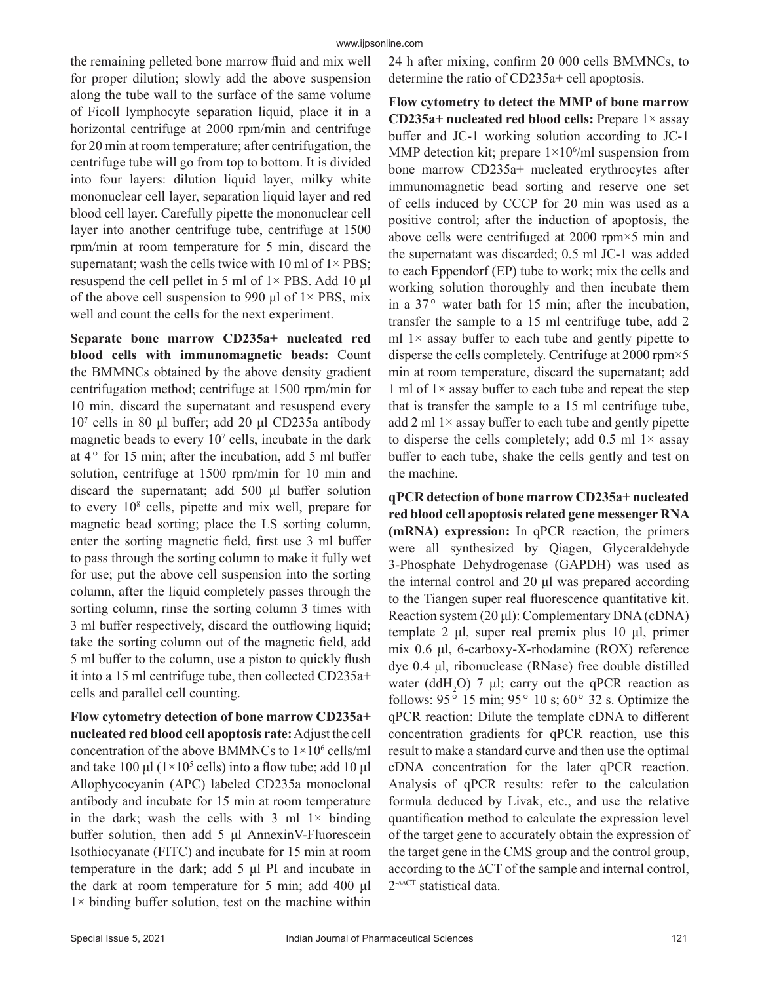the remaining pelleted bone marrow fluid and mix well for proper dilution; slowly add the above suspension along the tube wall to the surface of the same volume of Ficoll lymphocyte separation liquid, place it in a horizontal centrifuge at 2000 rpm/min and centrifuge for 20 min at room temperature; after centrifugation, the centrifuge tube will go from top to bottom. It is divided into four layers: dilution liquid layer, milky white mononuclear cell layer, separation liquid layer and red blood cell layer. Carefully pipette the mononuclear cell layer into another centrifuge tube, centrifuge at 1500 rpm/min at room temperature for 5 min, discard the supernatant; wash the cells twice with 10 ml of  $1 \times PBS$ ; resuspend the cell pellet in 5 ml of  $1 \times$  PBS. Add 10 µl of the above cell suspension to 990 μl of  $1 \times$  PBS, mix well and count the cells for the next experiment.

**Separate bone marrow CD235a+ nucleated red blood cells with immunomagnetic beads:** Count the BMMNCs obtained by the above density gradient centrifugation method; centrifuge at 1500 rpm/min for 10 min, discard the supernatant and resuspend every 107 cells in 80 μl buffer; add 20 μl CD235a antibody magnetic beads to every 10<sup>7</sup> cells, incubate in the dark at  $4^{\circ}$  for 15 min; after the incubation, add 5 ml buffer solution, centrifuge at 1500 rpm/min for 10 min and discard the supernatant; add 500 μl buffer solution to every 108 cells, pipette and mix well, prepare for magnetic bead sorting; place the LS sorting column, enter the sorting magnetic field, first use 3 ml buffer to pass through the sorting column to make it fully wet for use; put the above cell suspension into the sorting column, after the liquid completely passes through the sorting column, rinse the sorting column 3 times with 3 ml buffer respectively, discard the outflowing liquid; take the sorting column out of the magnetic field, add 5 ml buffer to the column, use a piston to quickly flush it into a 15 ml centrifuge tube, then collected CD235a+ cells and parallel cell counting.

**Flow cytometry detection of bone marrow CD235a+ nucleated red blood cell apoptosis rate:** Adjust the cell concentration of the above BMMNCs to  $1 \times 10^6$  cells/ml and take 100  $\mu$ l (1×10<sup>5</sup> cells) into a flow tube; add 10  $\mu$ l Allophycocyanin (APC) labeled CD235a monoclonal antibody and incubate for 15 min at room temperature in the dark; wash the cells with 3 ml  $1 \times$  binding buffer solution, then add 5 μl AnnexinV-Fluorescein Isothiocyanate (FITC) and incubate for 15 min at room temperature in the dark; add 5 μl PI and incubate in the dark at room temperature for 5 min; add 400 μl  $1 \times$  binding buffer solution, test on the machine within

24 h after mixing, confirm 20 000 cells BMMNCs, to determine the ratio of CD235a+ cell apoptosis.

**Flow cytometry to detect the MMP of bone marrow CD235a+ nucleated red blood cells:** Prepare 1× assay buffer and JC-1 working solution according to JC-1 MMP detection kit; prepare  $1 \times 10^6$ /ml suspension from bone marrow CD235a+ nucleated erythrocytes after immunomagnetic bead sorting and reserve one set of cells induced by CCCP for 20 min was used as a positive control; after the induction of apoptosis, the above cells were centrifuged at 2000 rpm×5 min and the supernatant was discarded; 0.5 ml JC-1 was added to each Eppendorf (EP) tube to work; mix the cells and working solution thoroughly and then incubate them in a  $37^{\circ}$  water bath for 15 min; after the incubation, transfer the sample to a 15 ml centrifuge tube, add 2 ml  $1\times$  assay buffer to each tube and gently pipette to disperse the cells completely. Centrifuge at 2000 rpm×5 min at room temperature, discard the supernatant; add 1 ml of  $1 \times$  assay buffer to each tube and repeat the step that is transfer the sample to a 15 ml centrifuge tube, add 2 ml  $1\times$  assay buffer to each tube and gently pipette to disperse the cells completely; add  $0.5$  ml  $1 \times$  assay buffer to each tube, shake the cells gently and test on the machine.

**qPCR detection of bone marrow CD235a+ nucleated red blood cell apoptosis related gene messenger RNA (mRNA) expression:** In qPCR reaction, the primers were all synthesized by Qiagen, Glyceraldehyde 3-Phosphate Dehydrogenase (GAPDH) was used as the internal control and 20 μl was prepared according to the Tiangen super real fluorescence quantitative kit. Reaction system (20 μl): Complementary DNA (cDNA) template 2 μl, super real premix plus 10 μl, primer mix 0.6 μl, 6-carboxy-X-rhodamine (ROX) reference dye 0.4 μl, ribonuclease (RNase) free double distilled water (ddH<sub>2</sub>O) 7 µl; carry out the qPCR reaction as follows:  $95^{\circ}$  15 min;  $95^{\circ}$  10 s;  $60^{\circ}$  32 s. Optimize the qPCR reaction: Dilute the template cDNA to different concentration gradients for qPCR reaction, use this result to make a standard curve and then use the optimal cDNA concentration for the later qPCR reaction. Analysis of qPCR results: refer to the calculation formula deduced by Livak, etc., and use the relative quantification method to calculate the expression level of the target gene to accurately obtain the expression of the target gene in the CMS group and the control group, according to the  $\Delta$ CT of the sample and internal control,  $2$ <sup>- $\triangle$  $CT$ </sup> statistical data.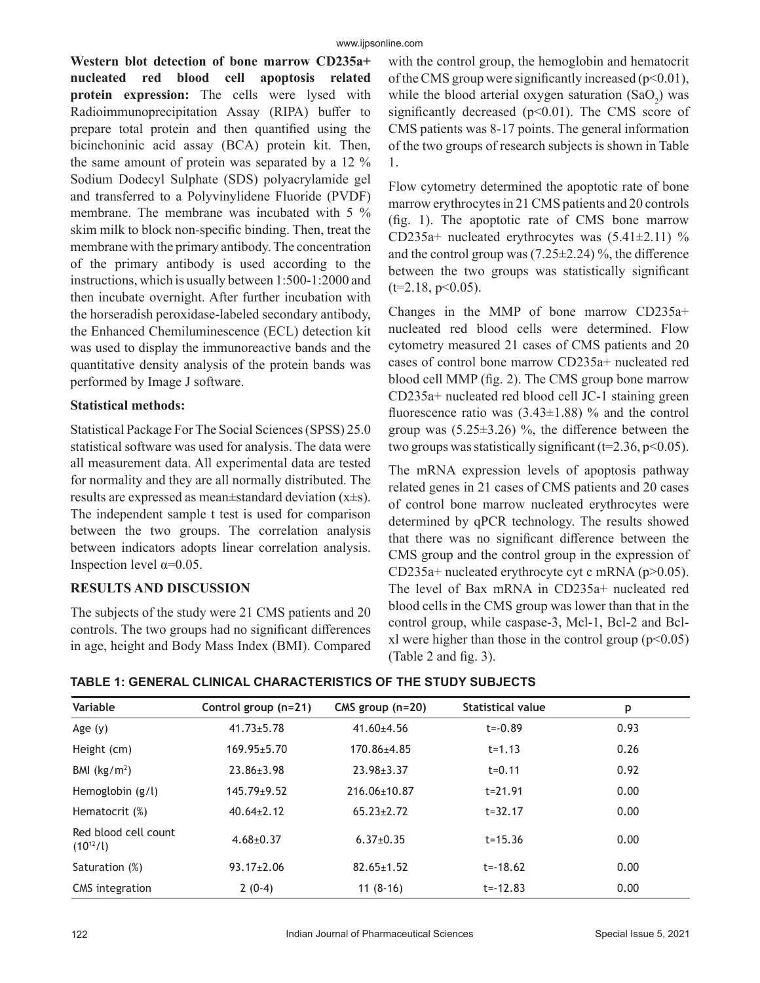**Western blot detection of bone marrow CD235a+ nucleated red blood cell apoptosis related protein expression:** The cells were lysed with Radioimmunoprecipitation Assay (RIPA) buffer to prepare total protein and then quantified using the bicinchoninic acid assay (BCA) protein kit. Then, the same amount of protein was separated by a 12 % Sodium Dodecyl Sulphate (SDS) polyacrylamide gel and transferred to a Polyvinylidene Fluoride (PVDF) membrane. The membrane was incubated with 5 % skim milk to block non-specific binding. Then, treat the membrane with the primary antibody. The concentration of the primary antibody is used according to the instructions, which is usually between 1:500-1:2000 and then incubate overnight. After further incubation with the horseradish peroxidase-labeled secondary antibody, the Enhanced Chemiluminescence (ECL) detection kit was used to display the immunoreactive bands and the quantitative density analysis of the protein bands was performed by Image J software.

## **Statistical methods:**

Statistical Package For The Social Sciences (SPSS) 25.0 statistical software was used for analysis. The data were all measurement data. All experimental data are tested for normality and they are all normally distributed. The results are expressed as mean±standard deviation (x±s). The independent sample t test is used for comparison between the two groups. The correlation analysis between indicators adopts linear correlation analysis. Inspection level  $\alpha$ =0.05.

### **RESULTS AND DISCUSSION**

The subjects of the study were 21 CMS patients and 20 controls. The two groups had no significant differences in age, height and Body Mass Index (BMI). Compared with the control group, the hemoglobin and hematocrit of the CMS group were significantly increased  $(p<0.01)$ , while the blood arterial oxygen saturation  $(SaO<sub>2</sub>)$  was significantly decreased  $(p<0.01)$ . The CMS score of CMS patients was 8-17 points. The general information of the two groups of research subjects is shown in Table 1.

Flow cytometry determined the apoptotic rate of bone marrow erythrocytes in 21 CMS patients and 20 controls (fig. 1). The apoptotic rate of CMS bone marrow CD235a+ nucleated erythrocytes was  $(5.41 \pm 2.11)$  % and the control group was  $(7.25\pm2.24)$ %, the difference between the two groups was statistically significant  $(t=2.18, p<0.05)$ .

Changes in the MMP of bone marrow CD235a+ nucleated red blood cells were determined. Flow cytometry measured 21 cases of CMS patients and 20 cases of control bone marrow CD235a+ nucleated red blood cell MMP (fig. 2). The CMS group bone marrow CD235a+ nucleated red blood cell JC-1 staining green fluorescence ratio was  $(3.43\pm1.88)$  % and the control group was  $(5.25\pm3.26)$  %, the difference between the two groups was statistically significant ( $t=2.36$ ,  $p<0.05$ ).

The mRNA expression levels of apoptosis pathway related genes in 21 cases of CMS patients and 20 cases of control bone marrow nucleated erythrocytes were determined by qPCR technology. The results showed that there was no significant difference between the CMS group and the control group in the expression of CD235a+ nucleated erythrocyte cyt c mRNA (p>0.05). The level of Bax mRNA in CD235a+ nucleated red blood cells in the CMS group was lower than that in the control group, while caspase-3, Mcl-1, Bcl-2 and Bclxl were higher than those in the control group  $(p<0.05)$ (Table 2 and fig. 3).

| TABLE 1: GENERAL CLINICAL CHARACTERISTICS OF THE STUDY SUBJECTS |  |
|-----------------------------------------------------------------|--|
|-----------------------------------------------------------------|--|

| Variable                              | Control group (n=21) | CMS group $(n=20)$ | <b>Statistical value</b> | p    |  |
|---------------------------------------|----------------------|--------------------|--------------------------|------|--|
| Age $(y)$                             | $41.73 \pm 5.78$     | $41.60 \pm 4.56$   | $t = -0.89$              | 0.93 |  |
| Height (cm)                           | $169.95 \pm 5.70$    | 170.86±4.85        | $t = 1.13$               | 0.26 |  |
| BMI $(kg/m2)$                         | $23.86 \pm 3.98$     | $23.98 \pm 3.37$   | $t = 0.11$               | 0.92 |  |
| Hemoglobin $(g/l)$                    | $145.79 \pm 9.52$    | 216.06±10.87       | $t = 21.91$              | 0.00 |  |
| Hematocrit (%)                        | $40.64 \pm 2.12$     | $65.23 \pm 2.72$   | $t = 32.17$              | 0.00 |  |
| Red blood cell count<br>$(10^{12}/l)$ | $4.68 \pm 0.37$      | $6.37+0.35$        | $t = 15.36$              | 0.00 |  |
| Saturation (%)                        | $93.17 \pm 2.06$     | $82.65 \pm 1.52$   | $t = -18.62$             | 0.00 |  |
| CMS integration                       | $2(0-4)$             | $11(8-16)$         | $t = -12.83$             | 0.00 |  |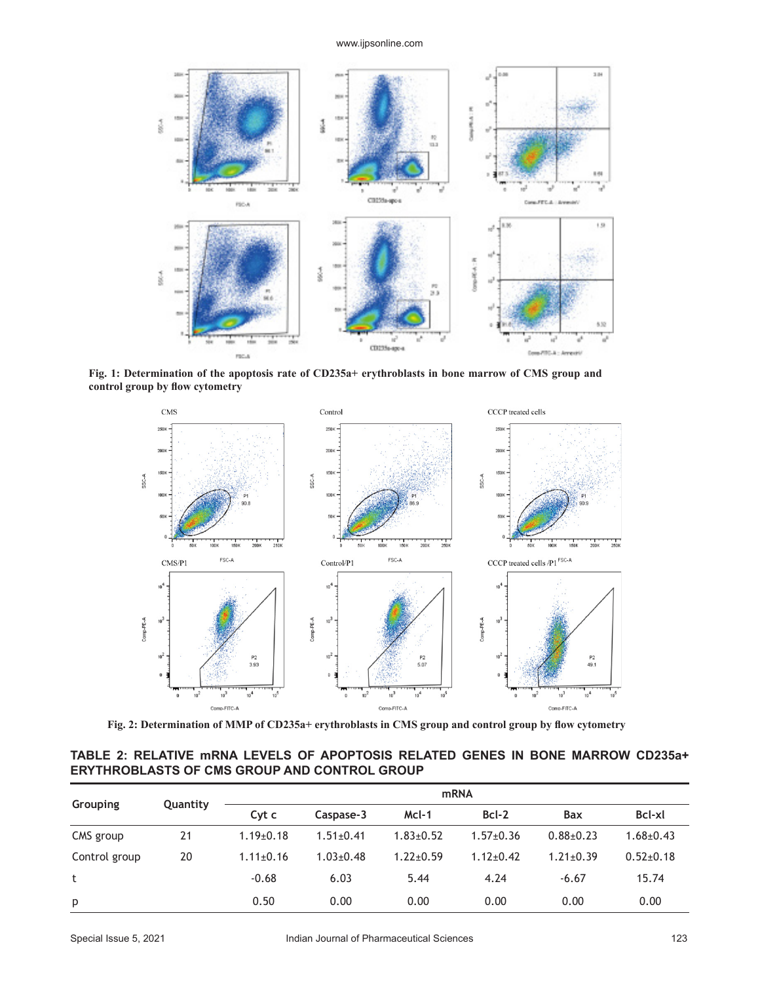#### www.ijpsonline.com



**Fig. 1: Determination of the apoptosis rate of CD235a+ erythroblasts in bone marrow of CMS group and control group by flow cytometry**



**Fig. 2: Determination of MMP of CD235a+ erythroblasts in CMS group and control group by flow cytometry**

**TABLE 2: RELATIVE mRNA LEVELS OF APOPTOSIS RELATED GENES IN BONE MARROW CD235a+ ERYTHROBLASTS OF CMS GROUP AND CONTROL GROUP**

| Grouping      | Quantity | <b>mRNA</b>     |                 |               |                 |                 |                 |
|---------------|----------|-----------------|-----------------|---------------|-----------------|-----------------|-----------------|
|               |          | Cyt c           | Caspase-3       | $McI-1$       | Bcl-2           | Bax             | Bcl-xl          |
| CMS group     | 21       | $1.19 \pm 0.18$ | $1.51 \pm 0.41$ | $1.83 + 0.52$ | $1.57+0.36$     | $0.88 + 0.23$   | $1.68 \pm 0.43$ |
| Control group | 20       | $1.11 \pm 0.16$ | $1.03 \pm 0.48$ | $1.22 + 0.59$ | $1.12 \pm 0.42$ | $1.21 \pm 0.39$ | $0.52{\pm}0.18$ |
| t             |          | $-0.68$         | 6.03            | 5.44          | 4.24            | $-6.67$         | 15.74           |
| p             |          | 0.50            | 0.00            | 0.00          | 0.00            | 0.00            | 0.00            |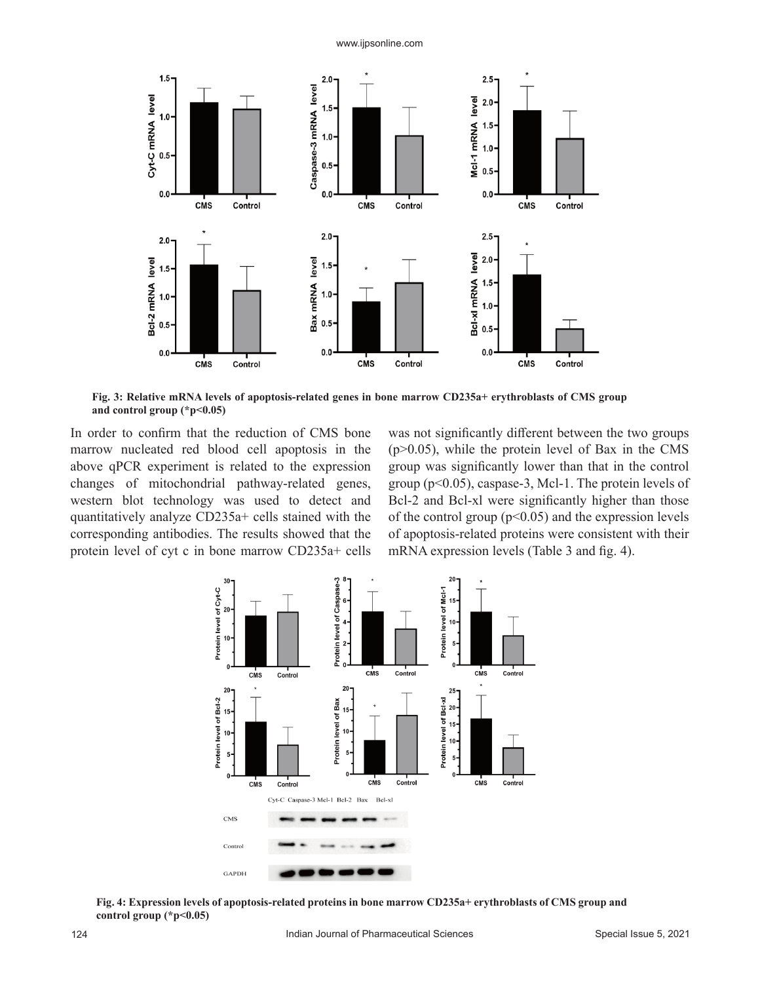www.ijpsonline.com



**Fig. 3: Relative mRNA levels of apoptosis-related genes in bone marrow CD235a+ erythroblasts of CMS group and control group (\*p<0.05)**

In order to confirm that the reduction of CMS bone marrow nucleated red blood cell apoptosis in the above qPCR experiment is related to the expression changes of mitochondrial pathway-related genes, western blot technology was used to detect and quantitatively analyze CD235a+ cells stained with the corresponding antibodies. The results showed that the protein level of cyt c in bone marrow CD235a+ cells was not significantly different between the two groups  $(p>0.05)$ , while the protein level of Bax in the CMS group was significantly lower than that in the control group (p<0.05), caspase-3, Mcl-1. The protein levels of Bcl-2 and Bcl-xl were significantly higher than those of the control group  $(p<0.05)$  and the expression levels of apoptosis-related proteins were consistent with their mRNA expression levels (Table 3 and fig. 4).



**Fig. 4: Expression levels of apoptosis-related proteins in bone marrow CD235a+ erythroblasts of CMS group and control group (\*p<0.05)**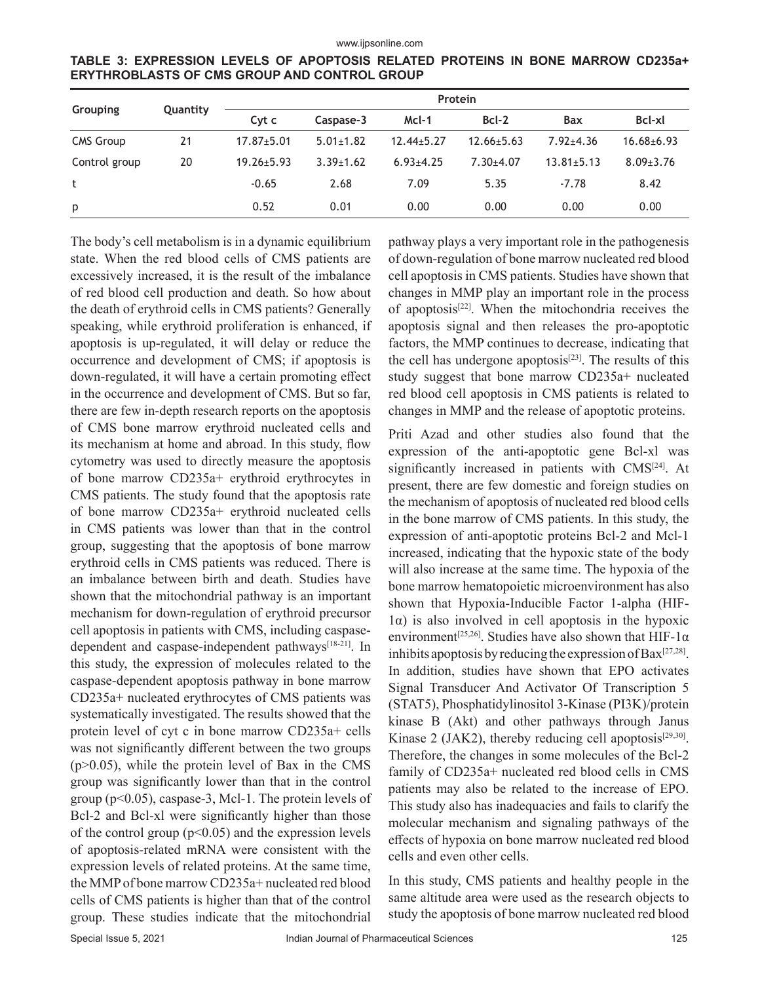| Grouping         | Quantity | Protein          |                 |                  |                  |                  |                  |
|------------------|----------|------------------|-----------------|------------------|------------------|------------------|------------------|
|                  |          | Cyt c            | Caspase-3       | McI-1            | $Bcl-2$          | Bax              | Bcl-xl           |
| <b>CMS Group</b> | 21       | $17.87 \pm 5.01$ | $5.01 \pm 1.82$ | $12.44 \pm 5.27$ | $12.66 \pm 5.63$ | $7.92 \pm 4.36$  | $16.68 \pm 6.93$ |
| Control group    | 20       | $19.26 \pm 5.93$ | $3.39 \pm 1.62$ | $6.93{\pm}4.25$  | $7.30 + 4.07$    | $13.81 \pm 5.13$ | $8.09 \pm 3.76$  |
| t                |          | $-0.65$          | 2.68            | 7.09             | 5.35             | $-7.78$          | 8.42             |
| p                |          | 0.52             | 0.01            | 0.00             | 0.00             | 0.00             | 0.00             |

**TABLE 3: EXPRESSION LEVELS OF APOPTOSIS RELATED PROTEINS IN BONE MARROW CD235a+ ERYTHROBLASTS OF CMS GROUP AND CONTROL GROUP**

The body's cell metabolism is in a dynamic equilibrium state. When the red blood cells of CMS patients are excessively increased, it is the result of the imbalance of red blood cell production and death. So how about the death of erythroid cells in CMS patients? Generally speaking, while erythroid proliferation is enhanced, if apoptosis is up-regulated, it will delay or reduce the occurrence and development of CMS; if apoptosis is down-regulated, it will have a certain promoting effect in the occurrence and development of CMS. But so far, there are few in-depth research reports on the apoptosis of CMS bone marrow erythroid nucleated cells and its mechanism at home and abroad. In this study, flow cytometry was used to directly measure the apoptosis of bone marrow CD235a+ erythroid erythrocytes in CMS patients. The study found that the apoptosis rate of bone marrow CD235a+ erythroid nucleated cells in CMS patients was lower than that in the control group, suggesting that the apoptosis of bone marrow erythroid cells in CMS patients was reduced. There is an imbalance between birth and death. Studies have shown that the mitochondrial pathway is an important mechanism for down-regulation of erythroid precursor cell apoptosis in patients with CMS, including caspasedependent and caspase-independent pathways<sup>[18-21]</sup>. In this study, the expression of molecules related to the caspase-dependent apoptosis pathway in bone marrow CD235a+ nucleated erythrocytes of CMS patients was systematically investigated. The results showed that the protein level of cyt c in bone marrow CD235a+ cells was not significantly different between the two groups  $(p>0.05)$ , while the protein level of Bax in the CMS group was significantly lower than that in the control group (p<0.05), caspase-3, Mcl-1. The protein levels of Bcl-2 and Bcl-xl were significantly higher than those of the control group  $(p<0.05)$  and the expression levels of apoptosis-related mRNA were consistent with the expression levels of related proteins. At the same time, the MMP of bone marrow CD235a+ nucleated red blood cells of CMS patients is higher than that of the control group. These studies indicate that the mitochondrial

pathway plays a very important role in the pathogenesis of down-regulation of bone marrow nucleated red blood cell apoptosis in CMS patients. Studies have shown that changes in MMP play an important role in the process of apoptosis[22]. When the mitochondria receives the apoptosis signal and then releases the pro-apoptotic factors, the MMP continues to decrease, indicating that the cell has undergone apoptosis<sup>[23]</sup>. The results of this study suggest that bone marrow CD235a+ nucleated red blood cell apoptosis in CMS patients is related to changes in MMP and the release of apoptotic proteins.

Priti Azad and other studies also found that the expression of the anti-apoptotic gene Bcl-xl was significantly increased in patients with CMS<sup>[24]</sup>. At present, there are few domestic and foreign studies on the mechanism of apoptosis of nucleated red blood cells in the bone marrow of CMS patients. In this study, the expression of anti-apoptotic proteins Bcl-2 and Mcl-1 increased, indicating that the hypoxic state of the body will also increase at the same time. The hypoxia of the bone marrow hematopoietic microenvironment has also shown that Hypoxia-Inducible Factor 1-alpha (HIF-1α) is also involved in cell apoptosis in the hypoxic environment<sup>[25,26]</sup>. Studies have also shown that HIF-1 $\alpha$ inhibits apoptosis by reducing the expression of  $Bax^{[27,28]}$ . In addition, studies have shown that EPO activates Signal Transducer And Activator Of Transcription 5 (STAT5), Phosphatidylinositol 3-Kinase (PI3K)/protein kinase B (Akt) and other pathways through Janus Kinase 2 (JAK2), thereby reducing cell apoptosis<sup>[29,30]</sup>. Therefore, the changes in some molecules of the Bcl-2 family of CD235a+ nucleated red blood cells in CMS patients may also be related to the increase of EPO. This study also has inadequacies and fails to clarify the molecular mechanism and signaling pathways of the effects of hypoxia on bone marrow nucleated red blood cells and even other cells.

In this study, CMS patients and healthy people in the same altitude area were used as the research objects to study the apoptosis of bone marrow nucleated red blood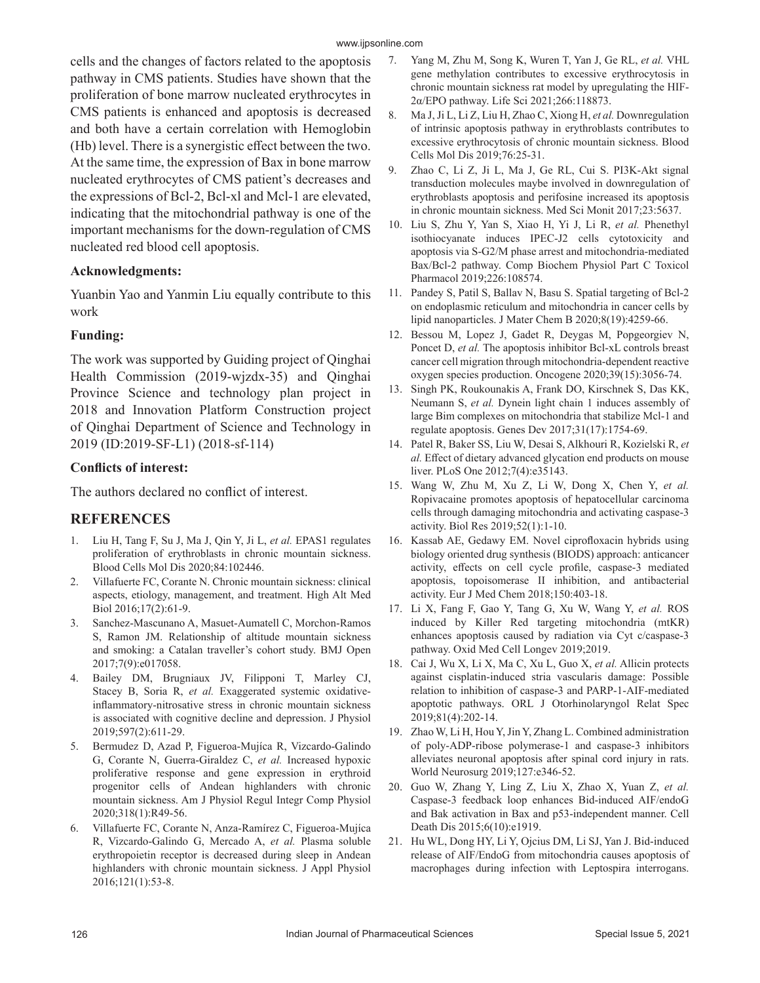cells and the changes of factors related to the apoptosis pathway in CMS patients. Studies have shown that the proliferation of bone marrow nucleated erythrocytes in CMS patients is enhanced and apoptosis is decreased and both have a certain correlation with Hemoglobin (Hb) level. There is a synergistic effect between the two. At the same time, the expression of Bax in bone marrow nucleated erythrocytes of CMS patient's decreases and the expressions of Bcl-2, Bcl-xl and Mcl-1 are elevated, indicating that the mitochondrial pathway is one of the important mechanisms for the down-regulation of CMS nucleated red blood cell apoptosis.

#### **Acknowledgments:**

Yuanbin Yao and Yanmin Liu equally contribute to this work

### **Funding:**

The work was supported by Guiding project of Qinghai Health Commission (2019-wjzdx-35) and Qinghai Province Science and technology plan project in 2018 and Innovation Platform Construction project of Qinghai Department of Science and Technology in 2019 (ID:2019-SF-L1) (2018-sf-114)

#### **Conflicts of interest:**

The authors declared no conflict of interest.

### **REFERENCES**

- 1. Liu H, Tang F, Su J, Ma J, Qin Y, Ji L, *et al.* EPAS1 regulates proliferation of erythroblasts in chronic mountain sickness. Blood Cells Mol Dis 2020;84:102446.
- 2. Villafuerte FC, Corante N. Chronic mountain sickness: clinical aspects, etiology, management, and treatment. High Alt Med Biol 2016;17(2):61-9.
- 3. Sanchez-Mascunano A, Masuet-Aumatell C, Morchon-Ramos S, Ramon JM. Relationship of altitude mountain sickness and smoking: a Catalan traveller's cohort study. BMJ Open 2017;7(9):e017058.
- 4. Bailey DM, Brugniaux JV, Filipponi T, Marley CJ, Stacey B, Soria R, et al. Exaggerated systemic oxidativeinflammatory‐nitrosative stress in chronic mountain sickness is associated with cognitive decline and depression. J Physiol 2019;597(2):611-29.
- 5. Bermudez D, Azad P, Figueroa-Mujíca R, Vizcardo-Galindo G, Corante N, Guerra-Giraldez C, *et al.* Increased hypoxic proliferative response and gene expression in erythroid progenitor cells of Andean highlanders with chronic mountain sickness. Am J Physiol Regul Integr Comp Physiol 2020;318(1):R49-56.
- 6. Villafuerte FC, Corante N, Anza-Ramírez C, Figueroa-Mujíca R, Vizcardo-Galindo G, Mercado A, *et al.* Plasma soluble erythropoietin receptor is decreased during sleep in Andean highlanders with chronic mountain sickness. J Appl Physiol 2016;121(1):53-8.
- 7. Yang M, Zhu M, Song K, Wuren T, Yan J, Ge RL, *et al.* VHL gene methylation contributes to excessive erythrocytosis in chronic mountain sickness rat model by upregulating the HIF-2α/EPO pathway. Life Sci 2021;266:118873.
- 8. Ma J, Ji L, Li Z, Liu H, Zhao C, Xiong H, *et al.* Downregulation of intrinsic apoptosis pathway in erythroblasts contributes to excessive erythrocytosis of chronic mountain sickness. Blood Cells Mol Dis 2019;76:25-31.
- 9. Zhao C, Li Z, Ji L, Ma J, Ge RL, Cui S. PI3K-Akt signal transduction molecules maybe involved in downregulation of erythroblasts apoptosis and perifosine increased its apoptosis in chronic mountain sickness. Med Sci Monit 2017;23:5637.
- 10. Liu S, Zhu Y, Yan S, Xiao H, Yi J, Li R, *et al.* Phenethyl isothiocyanate induces IPEC-J2 cells cytotoxicity and apoptosis via S-G2/M phase arrest and mitochondria-mediated Bax/Bcl-2 pathway. Comp Biochem Physiol Part C Toxicol Pharmacol 2019;226:108574.
- 11. Pandey S, Patil S, Ballav N, Basu S. Spatial targeting of Bcl-2 on endoplasmic reticulum and mitochondria in cancer cells by lipid nanoparticles. J Mater Chem B 2020;8(19):4259-66.
- 12. Bessou M, Lopez J, Gadet R, Deygas M, Popgeorgiev N, Poncet D, *et al.* The apoptosis inhibitor Bcl-xL controls breast cancer cell migration through mitochondria-dependent reactive oxygen species production. Oncogene 2020;39(15):3056-74.
- 13. Singh PK, Roukounakis A, Frank DO, Kirschnek S, Das KK, Neumann S, *et al.* Dynein light chain 1 induces assembly of large Bim complexes on mitochondria that stabilize Mcl-1 and regulate apoptosis. Genes Dev 2017;31(17):1754-69.
- 14. Patel R, Baker SS, Liu W, Desai S, Alkhouri R, Kozielski R, *et al.* Effect of dietary advanced glycation end products on mouse liver. PLoS One 2012;7(4):e35143.
- 15. Wang W, Zhu M, Xu Z, Li W, Dong X, Chen Y, *et al.* Ropivacaine promotes apoptosis of hepatocellular carcinoma cells through damaging mitochondria and activating caspase-3 activity. Biol Res 2019;52(1):1-10.
- 16. Kassab AE, Gedawy EM. Novel ciprofloxacin hybrids using biology oriented drug synthesis (BIODS) approach: anticancer activity, effects on cell cycle profile, caspase-3 mediated apoptosis, topoisomerase II inhibition, and antibacterial activity. Eur J Med Chem 2018;150:403-18.
- 17. Li X, Fang F, Gao Y, Tang G, Xu W, Wang Y, *et al.* ROS induced by Killer Red targeting mitochondria (mtKR) enhances apoptosis caused by radiation via Cyt c/caspase-3 pathway. Oxid Med Cell Longev 2019;2019.
- 18. Cai J, Wu X, Li X, Ma C, Xu L, Guo X, *et al.* Allicin protects against cisplatin-induced stria vascularis damage: Possible relation to inhibition of caspase-3 and PARP-1-AIF-mediated apoptotic pathways. ORL J Otorhinolaryngol Relat Spec 2019;81(4):202-14.
- 19. Zhao W, Li H, Hou Y, Jin Y, Zhang L. Combined administration of poly-ADP-ribose polymerase-1 and caspase-3 inhibitors alleviates neuronal apoptosis after spinal cord injury in rats. World Neurosurg 2019;127:e346-52.
- 20. Guo W, Zhang Y, Ling Z, Liu X, Zhao X, Yuan Z, *et al.* Caspase-3 feedback loop enhances Bid-induced AIF/endoG and Bak activation in Bax and p53-independent manner. Cell Death Dis 2015;6(10):e1919.
- 21. Hu WL, Dong HY, Li Y, Ojcius DM, Li SJ, Yan J. Bid-induced release of AIF/EndoG from mitochondria causes apoptosis of macrophages during infection with Leptospira interrogans.